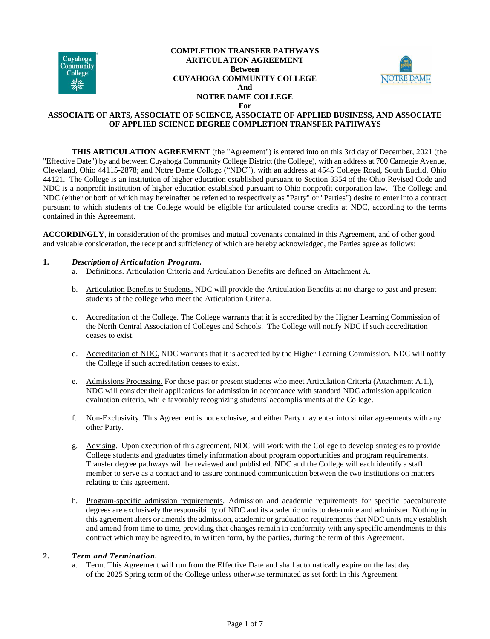

#### **COMPLETION TRANSFER PATHWAYS ARTICULATION AGREEMENT Between CUYAHOGA COMMUNITY COLLEGE And NOTRE DAME COLLEGE For**



# **ASSOCIATE OF ARTS, ASSOCIATE OF SCIENCE, ASSOCIATE OF APPLIED BUSINESS, AND ASSOCIATE OF APPLIED SCIENCE DEGREE COMPLETION TRANSFER PATHWAYS**

**THIS ARTICULATION AGREEMENT** (the "Agreement") is entered into on this 3rd day of December, 2021 (the "Effective Date") by and between Cuyahoga Community College District (the College), with an address at 700 Carnegie Avenue, Cleveland, Ohio 44115-2878; and Notre Dame College ("NDC"), with an address at 4545 College Road, South Euclid, Ohio 44121. The College is an institution of higher education established pursuant to Section 3354 of the Ohio Revised Code and NDC is a nonprofit institution of higher education established pursuant to Ohio nonprofit corporation law. The College and NDC (either or both of which may hereinafter be referred to respectively as "Party" or "Parties") desire to enter into a contract pursuant to which students of the College would be eligible for articulated course credits at NDC, according to the terms contained in this Agreement.

**ACCORDINGLY**, in consideration of the promises and mutual covenants contained in this Agreement, and of other good and valuable consideration, the receipt and sufficiency of which are hereby acknowledged, the Parties agree as follows:

## **1.** *Description of Articulation Program.*

- a. Definitions. Articulation Criteria and Articulation Benefits are defined on Attachment A.
- b. Articulation Benefits to Students. NDC will provide the Articulation Benefits at no charge to past and present students of the college who meet the Articulation Criteria.
- c. Accreditation of the College. The College warrants that it is accredited by the Higher Learning Commission of the North Central Association of Colleges and Schools. The College will notify NDC if such accreditation ceases to exist.
- d. Accreditation of NDC. NDC warrants that it is accredited by the Higher Learning Commission. NDC will notify the College if such accreditation ceases to exist.
- e. Admissions Processing. For those past or present students who meet Articulation Criteria (Attachment A.1.), NDC will consider their applications for admission in accordance with standard NDC admission application evaluation criteria, while favorably recognizing students' accomplishments at the College.
- f. Non-Exclusivity. This Agreement is not exclusive, and either Party may enter into similar agreements with any other Party.
- g. Advising. Upon execution of this agreement, NDC will work with the College to develop strategies to provide College students and graduates timely information about program opportunities and program requirements. Transfer degree pathways will be reviewed and published. NDC and the College will each identify a staff member to serve as a contact and to assure continued communication between the two institutions on matters relating to this agreement.
- h. Program-specific admission requirements. Admission and academic requirements for specific baccalaureate degrees are exclusively the responsibility of NDC and its academic units to determine and administer. Nothing in this agreement alters or amends the admission, academic or graduation requirements that NDC units may establish and amend from time to time, providing that changes remain in conformity with any specific amendments to this contract which may be agreed to, in written form, by the parties, during the term of this Agreement.

# **2.** *Term and Termination.*

a. Term. This Agreement will run from the Effective Date and shall automatically expire on the last day of the 2025 Spring term of the College unless otherwise terminated as set forth in this Agreement.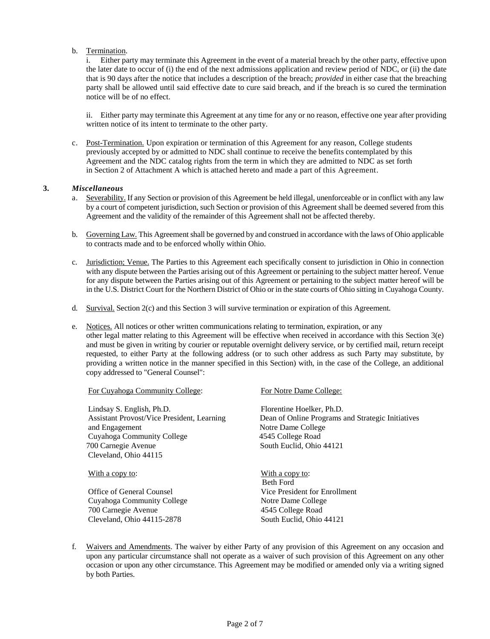#### b. Termination.

i. Either party may terminate this Agreement in the event of a material breach by the other party, effective upon the later date to occur of (i) the end of the next admissions application and review period of NDC, or (ii) the date that is 90 days after the notice that includes a description of the breach; *provided* in either case that the breaching party shall be allowed until said effective date to cure said breach, and if the breach is so cured the termination notice will be of no effect.

ii. Either party may terminate this Agreement at any time for any or no reason, effective one year after providing written notice of its intent to terminate to the other party.

c. Post-Termination. Upon expiration or termination of this Agreement for any reason, College students previously accepted by or admitted to NDC shall continue to receive the benefits contemplated by this Agreement and the NDC catalog rights from the term in which they are admitted to NDC as set forth in Section 2 of Attachment A which is attached hereto and made a part of this Agreement.

#### **3.** *Miscellaneous*

- a. Severability. If any Section or provision of this Agreement be held illegal, unenforceable or in conflict with any law by a court of competent jurisdiction, such Section or provision of this Agreement shall be deemed severed from this Agreement and the validity of the remainder of this Agreement shall not be affected thereby.
- b. Governing Law. This Agreement shall be governed by and construed in accordance with the laws of Ohio applicable to contracts made and to be enforced wholly within Ohio.
- c. Jurisdiction; Venue. The Parties to this Agreement each specifically consent to jurisdiction in Ohio in connection with any dispute between the Parties arising out of this Agreement or pertaining to the subject matter hereof. Venue for any dispute between the Parties arising out of this Agreement or pertaining to the subject matter hereof will be in the U.S. District Court for the Northern District of Ohio or in the state courts of Ohio sitting in Cuyahoga County.
- d. Survival. Section 2(c) and this Section 3 will survive termination or expiration of this Agreement.
- e. Notices. All notices or other written communications relating to termination, expiration, or any other legal matter relating to this Agreement will be effective when received in accordance with this Section 3(e) and must be given in writing by courier or reputable overnight delivery service, or by certified mail, return receipt requested, to either Party at the following address (or to such other address as such Party may substitute, by providing a written notice in the manner specified in this Section) with, in the case of the College, an additional copy addressed to "General Counsel":

| For Cuyahoga Community College:                                                                                                                       | For Notre Dame College:                                                                                                                               |
|-------------------------------------------------------------------------------------------------------------------------------------------------------|-------------------------------------------------------------------------------------------------------------------------------------------------------|
| Lindsay S. English, Ph.D.<br><b>Assistant Provost/Vice President, Learning</b><br>and Engagement<br>Cuyahoga Community College<br>700 Carnegie Avenue | Florentine Hoelker, Ph.D.<br>Dean of Online Programs and Strategic Initiatives<br>Notre Dame College<br>4545 College Road<br>South Euclid, Ohio 44121 |
| Cleveland, Ohio 44115                                                                                                                                 |                                                                                                                                                       |
| With a copy to:                                                                                                                                       | With a copy to:<br><b>Beth Ford</b>                                                                                                                   |
| Office of General Counsel                                                                                                                             | Vice President for Enrollment                                                                                                                         |
| Cuyahoga Community College                                                                                                                            | Notre Dame College                                                                                                                                    |
| 700 Carnegie Avenue                                                                                                                                   | 4545 College Road                                                                                                                                     |
| Cleveland, Ohio 44115-2878                                                                                                                            | South Euclid, Ohio 44121                                                                                                                              |

f. Waivers and Amendments. The waiver by either Party of any provision of this Agreement on any occasion and upon any particular circumstance shall not operate as a waiver of such provision of this Agreement on any other occasion or upon any other circumstance. This Agreement may be modified or amended only via a writing signed by both Parties.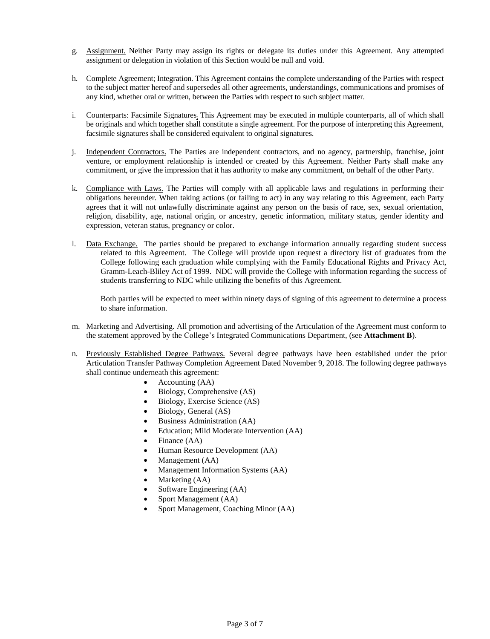- g. Assignment. Neither Party may assign its rights or delegate its duties under this Agreement. Any attempted assignment or delegation in violation of this Section would be null and void.
- h. Complete Agreement; Integration. This Agreement contains the complete understanding of the Parties with respect to the subject matter hereof and supersedes all other agreements, understandings, communications and promises of any kind, whether oral or written, between the Parties with respect to such subject matter.
- i. Counterparts: Facsimile Signatures; This Agreement may be executed in multiple counterparts, all of which shall be originals and which together shall constitute a single agreement. For the purpose of interpreting this Agreement, facsimile signatures shall be considered equivalent to original signatures.
- j. Independent Contractors. The Parties are independent contractors, and no agency, partnership, franchise, joint venture, or employment relationship is intended or created by this Agreement. Neither Party shall make any commitment, or give the impression that it has authority to make any commitment, on behalf of the other Party.
- k. Compliance with Laws. The Parties will comply with all applicable laws and regulations in performing their obligations hereunder. When taking actions (or failing to act) in any way relating to this Agreement, each Party agrees that it will not unlawfully discriminate against any person on the basis of race, sex, sexual orientation, religion, disability, age, national origin, or ancestry, genetic information, military status, gender identity and expression, veteran status, pregnancy or color.
- l. Data Exchange. The parties should be prepared to exchange information annually regarding student success related to this Agreement. The College will provide upon request a directory list of graduates from the College following each graduation while complying with the Family Educational Rights and Privacy Act, Gramm-Leach-Bliley Act of 1999. NDC will provide the College with information regarding the success of students transferring to NDC while utilizing the benefits of this Agreement.

Both parties will be expected to meet within ninety days of signing of this agreement to determine a process to share information.

- m. Marketing and Advertising. All promotion and advertising of the Articulation of the Agreement must conform to the statement approved by the College's Integrated Communications Department, (see **Attachment B**).
- n. Previously Established Degree Pathways. Several degree pathways have been established under the prior Articulation Transfer Pathway Completion Agreement Dated November 9, 2018. The following degree pathways shall continue underneath this agreement:
	- Accounting (AA)
	- Biology, Comprehensive (AS)
	- Biology, Exercise Science (AS)
	- Biology, General (AS)
	- Business Administration (AA)
	- Education; Mild Moderate Intervention (AA)
	- Finance (AA)
	- Human Resource Development (AA)
	- Management (AA)
	- Management Information Systems (AA)
	- Marketing (AA)
	- Software Engineering (AA)
	- Sport Management (AA)
	- Sport Management, Coaching Minor (AA)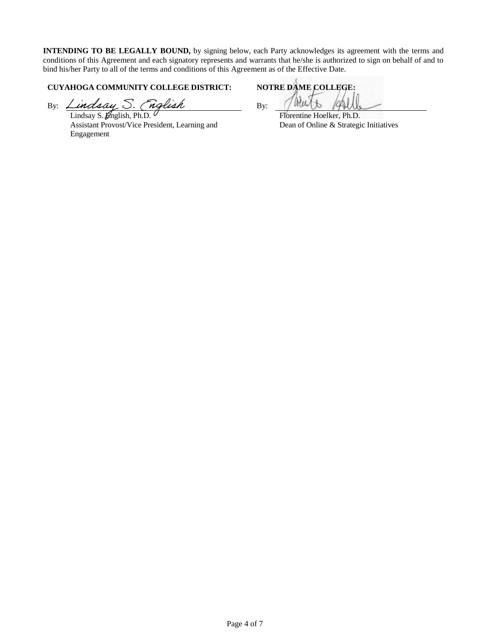**INTENDING TO BE LEGALLY BOUND,** by signing below, each Party acknowledges its agreement with the terms and conditions of this Agreement and each signatory represents and warrants that he/she is authorized to sign on behalf of and to bind his/her Party to all of the terms and conditions of this Agreement as of the Effective Date.

# **CUYAHOGA COMMUNITY COLLEGE DISTRICT: NOTRE DAME COLLEGE:**

By: Lindsay S. (nglish By:

Lindsay S. *English*, Ph.D. Assistant Provost/Vice President, Learning and Engagement

Florentine Hoelker, Ph.D. Dean of Online & Strategic Initiatives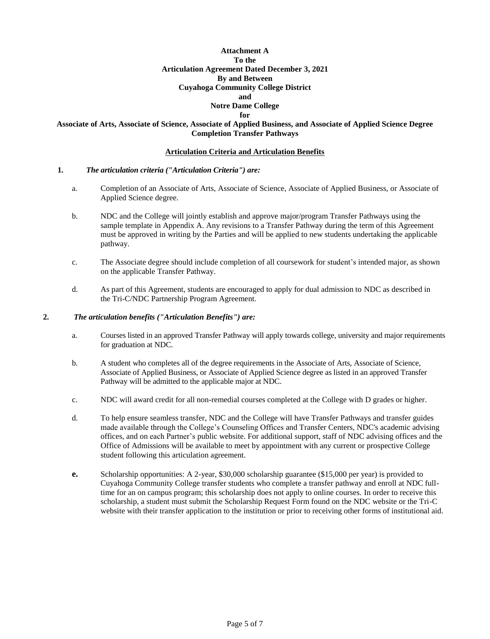# **Attachment A To the Articulation Agreement Dated December 3, 2021 By and Between Cuyahoga Community College District and**

# **Notre Dame College**

#### **for**

#### **Associate of Arts, Associate of Science, Associate of Applied Business, and Associate of Applied Science Degree Completion Transfer Pathways**

#### **Articulation Criteria and Articulation Benefits**

#### **1.** *The articulation criteria ("Articulation Criteria") are:*

- a. Completion of an Associate of Arts, Associate of Science, Associate of Applied Business, or Associate of Applied Science degree.
- b. NDC and the College will jointly establish and approve major/program Transfer Pathways using the sample template in Appendix A. Any revisions to a Transfer Pathway during the term of this Agreement must be approved in writing by the Parties and will be applied to new students undertaking the applicable pathway.
- c. The Associate degree should include completion of all coursework for student's intended major, as shown on the applicable Transfer Pathway.
- d. As part of this Agreement, students are encouraged to apply for dual admission to NDC as described in the Tri-C/NDC Partnership Program Agreement.

#### **2.** *The articulation benefits ("Articulation Benefits") are:*

- a. Courses listed in an approved Transfer Pathway will apply towards college, university and major requirements for graduation at NDC.
- b. A student who completes all of the degree requirements in the Associate of Arts, Associate of Science, Associate of Applied Business, or Associate of Applied Science degree as listed in an approved Transfer Pathway will be admitted to the applicable major at NDC.
- c. NDC will award credit for all non-remedial courses completed at the College with D grades or higher.
- d. To help ensure seamless transfer, NDC and the College will have Transfer Pathways and transfer guides made available through the College's Counseling Offices and Transfer Centers, NDC's academic advising offices, and on each Partner's public website. For additional support, staff of NDC advising offices and the Office of Admissions will be available to meet by appointment with any current or prospective College student following this articulation agreement.
- **e.** Scholarship opportunities: A 2-year, \$30,000 scholarship guarantee (\$15,000 per year) is provided to Cuyahoga Community College transfer students who complete a transfer pathway and enroll at NDC fulltime for an on campus program; this scholarship does not apply to online courses. In order to receive this scholarship, a student must submit the Scholarship Request Form found on the NDC website or the Tri-C website with their transfer application to the institution or prior to receiving other forms of institutional aid.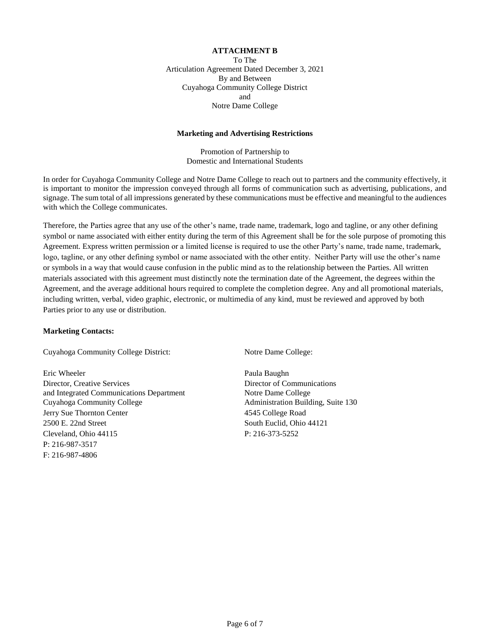#### **ATTACHMENT B**

To The Articulation Agreement Dated December 3, 2021 By and Between Cuyahoga Community College District and Notre Dame College

#### **Marketing and Advertising Restrictions**

Promotion of Partnership to Domestic and International Students

In order for Cuyahoga Community College and Notre Dame College to reach out to partners and the community effectively, it is important to monitor the impression conveyed through all forms of communication such as advertising, publications, and signage. The sum total of all impressions generated by these communications must be effective and meaningful to the audiences with which the College communicates.

Therefore, the Parties agree that any use of the other's name, trade name, trademark, logo and tagline, or any other defining symbol or name associated with either entity during the term of this Agreement shall be for the sole purpose of promoting this Agreement. Express written permission or a limited license is required to use the other Party's name, trade name, trademark, logo, tagline, or any other defining symbol or name associated with the other entity. Neither Party will use the other's name or symbols in a way that would cause confusion in the public mind as to the relationship between the Parties. All written materials associated with this agreement must distinctly note the termination date of the Agreement, the degrees within the Agreement, and the average additional hours required to complete the completion degree. Any and all promotional materials, including written, verbal, video graphic, electronic, or multimedia of any kind, must be reviewed and approved by both Parties prior to any use or distribution.

#### **Marketing Contacts:**

Cuyahoga Community College District: Notre Dame College:

Eric Wheeler Paula Baughn Director, Creative Services<br>
and Integrated Communications Department<br>
Notre Dame College and Integrated Communications Department Cuyahoga Community College Administration Building, Suite 130 Jerry Sue Thornton Center 4545 College Road 2500 E. 22nd Street South Euclid, Ohio 44121 Cleveland, Ohio 44115 P: 216-373-5252 P: 216-987-3517 F: 216-987-4806